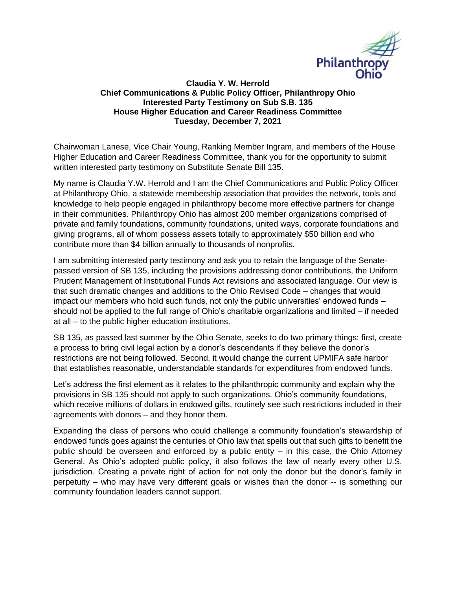

## **Claudia Y. W. Herrold Chief Communications & Public Policy Officer, Philanthropy Ohio Interested Party Testimony on Sub S.B. 135 House Higher Education and Career Readiness Committee Tuesday, December 7, 2021**

Chairwoman Lanese, Vice Chair Young, Ranking Member Ingram, and members of the House Higher Education and Career Readiness Committee, thank you for the opportunity to submit written interested party testimony on Substitute Senate Bill 135.

My name is Claudia Y.W. Herrold and I am the Chief Communications and Public Policy Officer at Philanthropy Ohio, a statewide membership association that provides the network, tools and knowledge to help people engaged in philanthropy become more effective partners for change in their communities. Philanthropy Ohio has almost 200 member organizations comprised of private and family foundations, community foundations, united ways, corporate foundations and giving programs, all of whom possess assets totally to approximately \$50 billion and who contribute more than \$4 billion annually to thousands of nonprofits.

I am submitting interested party testimony and ask you to retain the language of the Senatepassed version of SB 135, including the provisions addressing donor contributions, the Uniform Prudent Management of Institutional Funds Act revisions and associated language. Our view is that such dramatic changes and additions to the Ohio Revised Code – changes that would impact our members who hold such funds, not only the public universities' endowed funds – should not be applied to the full range of Ohio's charitable organizations and limited – if needed at all – to the public higher education institutions.

SB 135, as passed last summer by the Ohio Senate, seeks to do two primary things: first, create a process to bring civil legal action by a donor's descendants if they believe the donor's restrictions are not being followed. Second, it would change the current UPMIFA safe harbor that establishes reasonable, understandable standards for expenditures from endowed funds.

Let's address the first element as it relates to the philanthropic community and explain why the provisions in SB 135 should not apply to such organizations. Ohio's community foundations, which receive millions of dollars in endowed gifts, routinely see such restrictions included in their agreements with donors – and they honor them.

Expanding the class of persons who could challenge a community foundation's stewardship of endowed funds goes against the centuries of Ohio law that spells out that such gifts to benefit the public should be overseen and enforced by a public entity – in this case, the Ohio Attorney General. As Ohio's adopted public policy, it also follows the law of nearly every other U.S. jurisdiction. Creating a private right of action for not only the donor but the donor's family in perpetuity – who may have very different goals or wishes than the donor -- is something our community foundation leaders cannot support.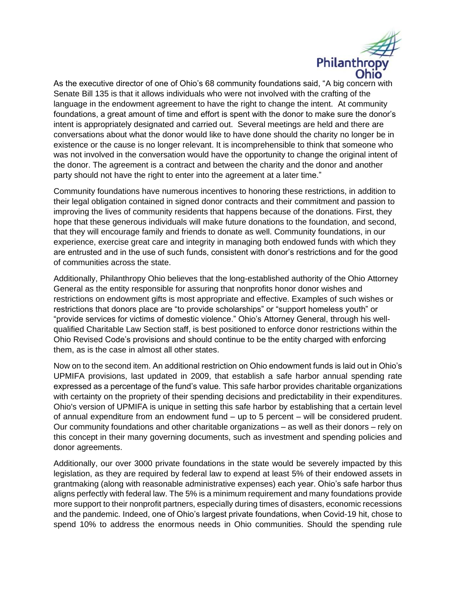

As the executive director of one of Ohio's 68 community foundations said, "A big concern with Senate Bill 135 is that it allows individuals who were not involved with the crafting of the language in the endowment agreement to have the right to change the intent. At community foundations, a great amount of time and effort is spent with the donor to make sure the donor's intent is appropriately designated and carried out. Several meetings are held and there are conversations about what the donor would like to have done should the charity no longer be in existence or the cause is no longer relevant. It is incomprehensible to think that someone who was not involved in the conversation would have the opportunity to change the original intent of the donor. The agreement is a contract and between the charity and the donor and another party should not have the right to enter into the agreement at a later time."

Community foundations have numerous incentives to honoring these restrictions, in addition to their legal obligation contained in signed donor contracts and their commitment and passion to improving the lives of community residents that happens because of the donations. First, they hope that these generous individuals will make future donations to the foundation, and second, that they will encourage family and friends to donate as well. Community foundations, in our experience, exercise great care and integrity in managing both endowed funds with which they are entrusted and in the use of such funds, consistent with donor's restrictions and for the good of communities across the state.

Additionally, Philanthropy Ohio believes that the long-established authority of the Ohio Attorney General as the entity responsible for assuring that nonprofits honor donor wishes and restrictions on endowment gifts is most appropriate and effective. Examples of such wishes or restrictions that donors place are "to provide scholarships" or "support homeless youth" or "provide services for victims of domestic violence." Ohio's Attorney General, through his wellqualified Charitable Law Section staff, is best positioned to enforce donor restrictions within the Ohio Revised Code's provisions and should continue to be the entity charged with enforcing them, as is the case in almost all other states.

Now on to the second item. An additional restriction on Ohio endowment funds is laid out in Ohio's UPMIFA provisions, last updated in 2009, that establish a safe harbor annual spending rate expressed as a percentage of the fund's value. This safe harbor provides charitable organizations with certainty on the propriety of their spending decisions and predictability in their expenditures. Ohio's version of UPMIFA is unique in setting this safe harbor by establishing that a certain level of annual expenditure from an endowment fund – up to 5 percent – will be considered prudent. Our community foundations and other charitable organizations – as well as their donors – rely on this concept in their many governing documents, such as investment and spending policies and donor agreements.

Additionally, our over 3000 private foundations in the state would be severely impacted by this legislation, as they are required by federal law to expend at least 5% of their endowed assets in grantmaking (along with reasonable administrative expenses) each year. Ohio's safe harbor thus aligns perfectly with federal law. The 5% is a minimum requirement and many foundations provide more support to their nonprofit partners, especially during times of disasters, economic recessions and the pandemic. Indeed, one of Ohio's largest private foundations, when Covid-19 hit, chose to spend 10% to address the enormous needs in Ohio communities. Should the spending rule